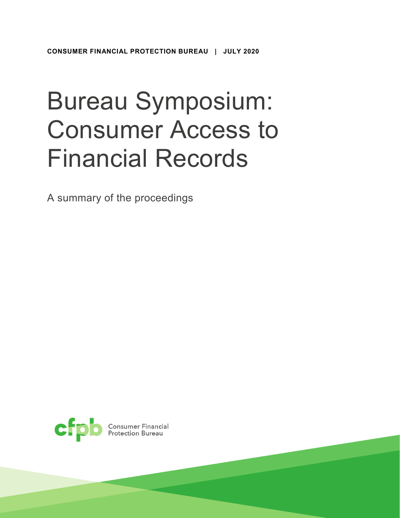# Bureau Symposium: Consumer Access to Financial Records

A summary of the proceedings

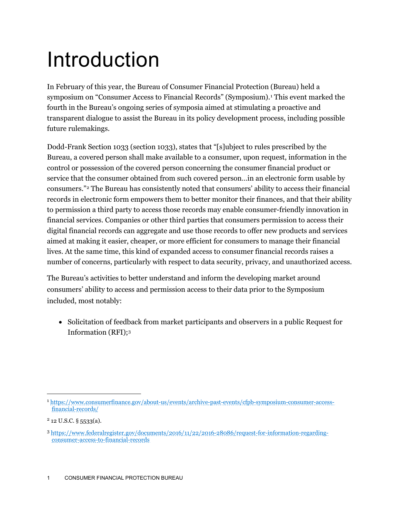## Introduction

In February of this year, the Bureau of Consumer Financial Protection (Bureau) held a symposium on "Consumer Access to Financial Records" (Symposium).<sup>[1](#page-1-0)</sup> This event marked the fourth in the Bureau's ongoing series of symposia aimed at stimulating a proactive and transparent dialogue to assist the Bureau in its policy development process, including possible future rulemakings.

Dodd-Frank Section 1033 (section 1033), states that "[s]ubject to rules prescribed by the Bureau, a covered person shall make available to a consumer, upon request, information in the control or possession of the covered person concerning the consumer financial product or service that the consumer obtained from such covered person…in an electronic form usable by consumers."[2](#page-1-1) The Bureau has consistently noted that consumers' ability to access their financial records in electronic form empowers them to better monitor their finances, and that their ability to permission a third party to access those records may enable consumer-friendly innovation in financial services. Companies or other third parties that consumers permission to access their digital financial records can aggregate and use those records to offer new products and services aimed at making it easier, cheaper, or more efficient for consumers to manage their financial lives. At the same time, this kind of expanded access to consumer financial records raises a number of concerns, particularly with respect to data security, privacy, and unauthorized access.

The Bureau's activities to better understand and inform the developing market around consumers' ability to access and permission access to their data prior to the Symposium included, most notably:

• Solicitation of feedback from market participants and observers in a public Request for Information (RFI)[;3](#page-1-2)

<span id="page-1-0"></span> <sup>1</sup> [https://www.consumerfinance.gov/about-us/events/archive-past-events/cfpb-symposium-consumer-access](https://www.consumerfinance.gov/about-us/events/archive-past-events/cfpb-symposium-consumer-access-financial-records/)[financial-records/](https://www.consumerfinance.gov/about-us/events/archive-past-events/cfpb-symposium-consumer-access-financial-records/)

<span id="page-1-1"></span> $2$  12 U.S.C. § 5533(a).

<span id="page-1-2"></span><sup>3</sup> [https://www.federalregister.gov/documents/2016/11/22/2016-28086/request-for-information-regarding](https://www.federalregister.gov/documents/2016/11/22/2016-28086/request-for-information-regarding-consumer-access-to-financial-records)[consumer-access-to-financial-records](https://www.federalregister.gov/documents/2016/11/22/2016-28086/request-for-information-regarding-consumer-access-to-financial-records)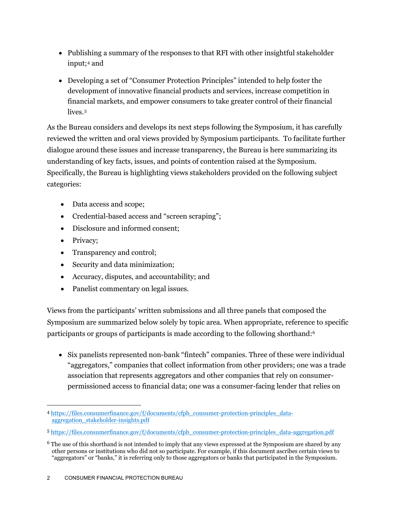- Publishing a summary of the responses to that RFI with other insightful stakeholder input;[4](#page-2-0) and
- Developing a set of "Consumer Protection Principles" intended to help foster the development of innovative financial products and services, increase competition in financial markets, and empower consumers to take greater control of their financial lives.<sup>[5](#page-2-1)</sup>

As the Bureau considers and develops its next steps following the Symposium, it has carefully reviewed the written and oral views provided by Symposium participants. To facilitate further dialogue around these issues and increase transparency, the Bureau is here summarizing its understanding of key facts, issues, and points of contention raised at the Symposium. Specifically, the Bureau is highlighting views stakeholders provided on the following subject categories:

- Data access and scope;
- Credential-based access and "screen scraping";
- Disclosure and informed consent;
- Privacy;
- Transparency and control;
- Security and data minimization;
- Accuracy, disputes, and accountability; and
- Panelist commentary on legal issues.

Views from the participants' written submissions and all three panels that composed the Symposium are summarized below solely by topic area. When appropriate, reference to specific participants or groups of participants is made according to the following shorthand[:6](#page-2-2)

• Six panelists represented non-bank "fintech" companies. Three of these were individual "aggregators," companies that collect information from other providers; one was a trade association that represents aggregators and other companies that rely on consumerpermissioned access to financial data; one was a consumer-facing lender that relies on

<span id="page-2-0"></span> <sup>4</sup> [https://files.consumerfinance.gov/f/documents/cfpb\\_consumer-protection-principles\\_data](https://files.consumerfinance.gov/f/documents/cfpb_consumer-protection-principles_data-aggregation_stakeholder-insights.pdf)[aggregation\\_stakeholder-insights.pdf](https://files.consumerfinance.gov/f/documents/cfpb_consumer-protection-principles_data-aggregation_stakeholder-insights.pdf)

<span id="page-2-1"></span><sup>5</sup> [https://files.consumerfinance.gov/f/documents/cfpb\\_consumer-protection-principles\\_data-aggregation.pdf](https://files.consumerfinance.gov/f/documents/cfpb_consumer-protection-principles_data-aggregation.pdf)

<span id="page-2-2"></span><sup>6</sup> The use of this shorthand is not intended to imply that any views expressed at the Symposium are shared by any other persons or institutions who did not so participate. For example, if this document ascribes certain views to "aggregators" or "banks," it is referring only to those aggregators or banks that participated in the Symposium.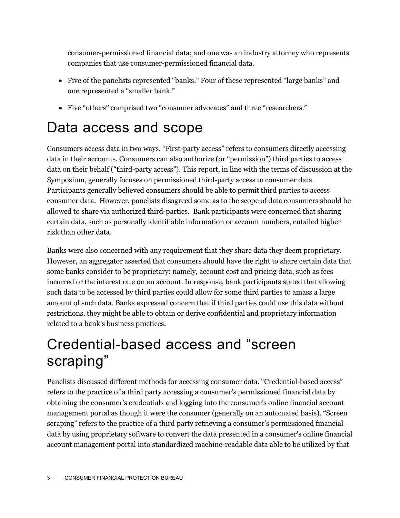consumer-permissioned financial data; and one was an industry attorney who represents companies that use consumer-permissioned financial data.

- Five of the panelists represented "banks." Four of these represented "large banks" and one represented a "smaller bank."
- Five "others" comprised two "consumer advocates" and three "researchers."

### Data access and scope

Consumers access data in two ways. "First-party access" refers to consumers directly accessing data in their accounts. Consumers can also authorize (or "permission") third parties to access data on their behalf ("third-party access"). This report, in line with the terms of discussion at the Symposium, generally focuses on permissioned third-party access to consumer data. Participants generally believed consumers should be able to permit third parties to access consumer data. However, panelists disagreed some as to the scope of data consumers should be allowed to share via authorized third-parties. Bank participants were concerned that sharing certain data, such as personally identifiable information or account numbers, entailed higher risk than other data.

Banks were also concerned with any requirement that they share data they deem proprietary. However, an aggregator asserted that consumers should have the right to share certain data that some banks consider to be proprietary: namely, account cost and pricing data, such as fees incurred or the interest rate on an account. In response, bank participants stated that allowing such data to be accessed by third parties could allow for some third parties to amass a large amount of such data. Banks expressed concern that if third parties could use this data without restrictions, they might be able to obtain or derive confidential and proprietary information related to a bank's business practices.

### Credential-based access and "screen scraping"

Panelists discussed different methods for accessing consumer data. "Credential-based access" refers to the practice of a third party accessing a consumer's permissioned financial data by obtaining the consumer's credentials and logging into the consumer's online financial account management portal as though it were the consumer (generally on an automated basis). "Screen scraping" refers to the practice of a third party retrieving a consumer's permissioned financial data by using proprietary software to convert the data presented in a consumer's online financial account management portal into standardized machine-readable data able to be utilized by that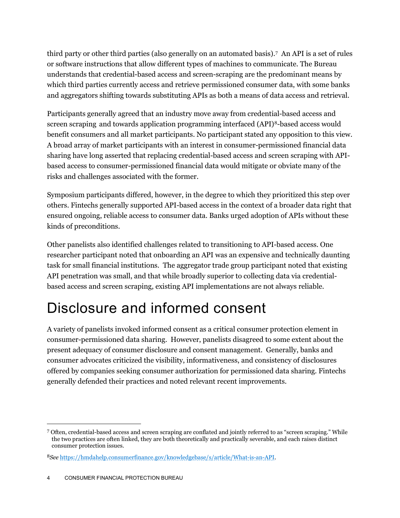third party or other third parties (also generally on an automated basis).[7](#page-4-0) An API is a set of rules or software instructions that allow different types of machines to communicate. The Bureau understands that credential-based access and screen-scraping are the predominant means by which third parties currently access and retrieve permissioned consumer data, with some banks and aggregators shifting towards substituting APIs as both a means of data access and retrieval.

Participants generally agreed that an industry move away from credential-based access and screen scraping and towards application programming interfaced (API)[8](#page-4-1)-based access would benefit consumers and all market participants. No participant stated any opposition to this view. A broad array of market participants with an interest in consumer-permissioned financial data sharing have long asserted that replacing credential-based access and screen scraping with APIbased access to consumer-permissioned financial data would mitigate or obviate many of the risks and challenges associated with the former.

Symposium participants differed, however, in the degree to which they prioritized this step over others. Fintechs generally supported API-based access in the context of a broader data right that ensured ongoing, reliable access to consumer data. Banks urged adoption of APIs without these kinds of preconditions.

Other panelists also identified challenges related to transitioning to API-based access. One researcher participant noted that onboarding an API was an expensive and technically daunting task for small financial institutions. The aggregator trade group participant noted that existing API penetration was small, and that while broadly superior to collecting data via credentialbased access and screen scraping, existing API implementations are not always reliable.

### Disclosure and informed consent

A variety of panelists invoked informed consent as a critical consumer protection element in consumer-permissioned data sharing. However, panelists disagreed to some extent about the present adequacy of consumer disclosure and consent management. Generally, banks and consumer advocates criticized the visibility, informativeness, and consistency of disclosures offered by companies seeking consumer authorization for permissioned data sharing. Fintechs generally defended their practices and noted relevant recent improvements.

<span id="page-4-0"></span> <sup>7</sup> Often, credential-based access and screen scraping are conflated and jointly referred to as "screen scraping." While the two practices are often linked, they are both theoretically and practically severable, and each raises distinct consumer protection issues.

<span id="page-4-1"></span><sup>8</sup>*See* [https://hmdahelp.consumerfinance.gov/knowledgebase/s/article/What-is-an-API.](https://hmdahelp.consumerfinance.gov/knowledgebase/s/article/What-is-an-API)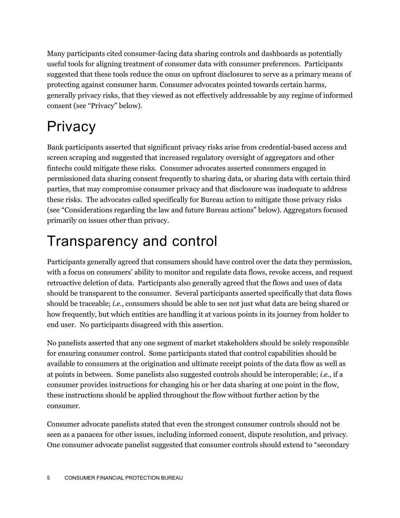Many participants cited consumer-facing data sharing controls and dashboards as potentially useful tools for aligning treatment of consumer data with consumer preferences. Participants suggested that these tools reduce the onus on upfront disclosures to serve as a primary means of protecting against consumer harm. Consumer advocates pointed towards certain harms, generally privacy risks, that they viewed as not effectively addressable by any regime of informed consent (see "Privacy" below).

### **Privacy**

Bank participants asserted that significant privacy risks arise from credential-based access and screen scraping and suggested that increased regulatory oversight of aggregators and other fintechs could mitigate these risks. Consumer advocates asserted consumers engaged in permissioned data sharing consent frequently to sharing data, or sharing data with certain third parties, that may compromise consumer privacy and that disclosure was inadequate to address these risks. The advocates called specifically for Bureau action to mitigate those privacy risks (see "Considerations regarding the law and future Bureau actions" below). Aggregators focused primarily on issues other than privacy.

### Transparency and control

Participants generally agreed that consumers should have control over the data they permission, with a focus on consumers' ability to monitor and regulate data flows, revoke access, and request retroactive deletion of data. Participants also generally agreed that the flows and uses of data should be transparent to the consumer. Several participants asserted specifically that data flows should be traceable; *i.e.*, consumers should be able to see not just what data are being shared or how frequently, but which entities are handling it at various points in its journey from holder to end user. No participants disagreed with this assertion.

No panelists asserted that any one segment of market stakeholders should be solely responsible for ensuring consumer control. Some participants stated that control capabilities should be available to consumers at the origination and ultimate receipt points of the data flow as well as at points in between. Some panelists also suggested controls should be interoperable; *i.e.*, if a consumer provides instructions for changing his or her data sharing at one point in the flow, these instructions should be applied throughout the flow without further action by the consumer.

Consumer advocate panelists stated that even the strongest consumer controls should not be seen as a panacea for other issues, including informed consent, dispute resolution, and privacy. One consumer advocate panelist suggested that consumer controls should extend to "secondary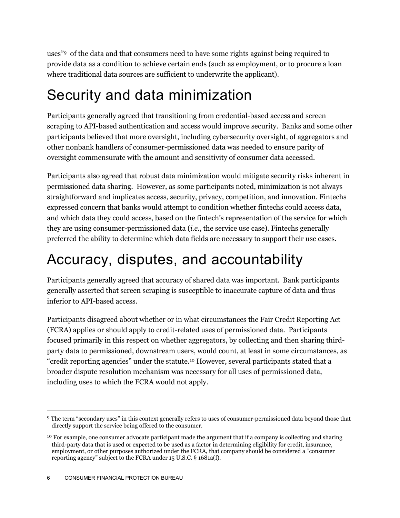uses"[9](#page-6-0) of the data and that consumers need to have some rights against being required to provide data as a condition to achieve certain ends (such as employment, or to procure a loan where traditional data sources are sufficient to underwrite the applicant).

#### Security and data minimization

Participants generally agreed that transitioning from credential-based access and screen scraping to API-based authentication and access would improve security. Banks and some other participants believed that more oversight, including cybersecurity oversight, of aggregators and other nonbank handlers of consumer-permissioned data was needed to ensure parity of oversight commensurate with the amount and sensitivity of consumer data accessed.

Participants also agreed that robust data minimization would mitigate security risks inherent in permissioned data sharing. However, as some participants noted, minimization is not always straightforward and implicates access, security, privacy, competition, and innovation. Fintechs expressed concern that banks would attempt to condition whether fintechs could access data, and which data they could access, based on the fintech's representation of the service for which they are using consumer-permissioned data (*i.e.*, the service use case). Fintechs generally preferred the ability to determine which data fields are necessary to support their use cases.

### Accuracy, disputes, and accountability

Participants generally agreed that accuracy of shared data was important. Bank participants generally asserted that screen scraping is susceptible to inaccurate capture of data and thus inferior to API-based access.

Participants disagreed about whether or in what circumstances the Fair Credit Reporting Act (FCRA) applies or should apply to credit-related uses of permissioned data. Participants focused primarily in this respect on whether aggregators, by collecting and then sharing thirdparty data to permissioned, downstream users, would count, at least in some circumstances, as "credit reporting agencies" under the statute.[10](#page-6-1) However, several participants stated that a broader dispute resolution mechanism was necessary for all uses of permissioned data, including uses to which the FCRA would not apply.

<span id="page-6-0"></span> <sup>9</sup> The term "secondary uses" in this context generally refers to uses of consumer-permissioned data beyond those that directly support the service being offered to the consumer.

<span id="page-6-1"></span><sup>&</sup>lt;sup>10</sup> For example, one consumer advocate participant made the argument that if a company is collecting and sharing third-party data that is used or expected to be used as a factor in determining eligibility for credit, insurance, employment, or other purposes authorized under the FCRA, that company should be considered a "consumer reporting agency" subject to the FCRA under 15 U.S.C. § 1681a(f).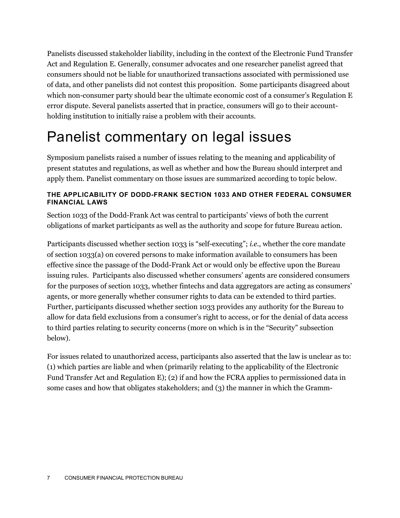Panelists discussed stakeholder liability, including in the context of the Electronic Fund Transfer Act and Regulation E. Generally, consumer advocates and one researcher panelist agreed that consumers should not be liable for unauthorized transactions associated with permissioned use of data, and other panelists did not contest this proposition. Some participants disagreed about which non-consumer party should bear the ultimate economic cost of a consumer's Regulation E error dispute. Several panelists asserted that in practice, consumers will go to their accountholding institution to initially raise a problem with their accounts.

### Panelist commentary on legal issues

Symposium panelists raised a number of issues relating to the meaning and applicability of present statutes and regulations, as well as whether and how the Bureau should interpret and apply them. Panelist commentary on those issues are summarized according to topic below.

#### **THE APPLICABILITY OF DODD-FRANK SECTION 1033 AND OTHER FEDERAL CONSUMER FINANCIAL LAWS**

Section 1033 of the Dodd-Frank Act was central to participants' views of both the current obligations of market participants as well as the authority and scope for future Bureau action.

Participants discussed whether section 1033 is "self-executing"; *i.e.*, whether the core mandate of section 1033(a) on covered persons to make information available to consumers has been effective since the passage of the Dodd-Frank Act or would only be effective upon the Bureau issuing rules. Participants also discussed whether consumers' agents are considered consumers for the purposes of section 1033, whether fintechs and data aggregators are acting as consumers' agents, or more generally whether consumer rights to data can be extended to third parties. Further, participants discussed whether section 1033 provides any authority for the Bureau to allow for data field exclusions from a consumer's right to access, or for the denial of data access to third parties relating to security concerns (more on which is in the "Security" subsection below).

For issues related to unauthorized access, participants also asserted that the law is unclear as to: (1) which parties are liable and when (primarily relating to the applicability of the Electronic Fund Transfer Act and Regulation E); (2) if and how the FCRA applies to permissioned data in some cases and how that obligates stakeholders; and (3) the manner in which the Gramm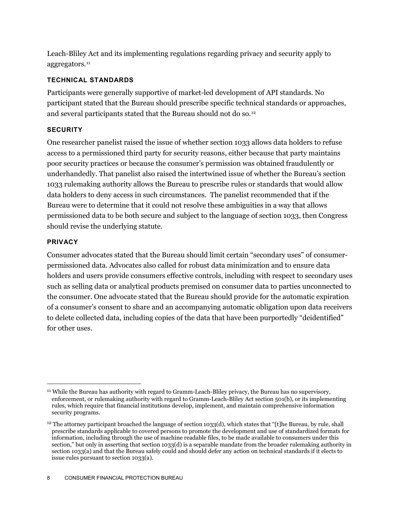Leach-Bliley Act and its implementing regulations regarding privacy and security apply to aggregators.<sup>[11](#page-8-0)</sup>

#### **TECHNICAL STANDARDS**

Participants were generally supportive of market-led development of API standards. No participant stated that the Bureau should prescribe specific technical standards or approaches, and several participants stated that the Bureau should not do so.<sup>[12](#page-8-1)</sup>

#### **SECURITY**

One researcher panelist raised the issue of whether section 1033 allows data holders to refuse access to a permissioned third party for security reasons, either because that party maintains poor security practices or because the consumer's permission was obtained fraudulently or underhandedly. That panelist also raised the intertwined issue of whether the Bureau's section 1033 rulemaking authority allows the Bureau to prescribe rules or standards that would allow data holders to deny access in such circumstances. The panelist recommended that if the Bureau were to determine that it could not resolve these ambiguities in a way that allows permissioned data to be both secure and subject to the language of section 1033, then Congress should revise the underlying statute.

#### **PRIVACY**

Consumer advocates stated that the Bureau should limit certain "secondary uses" of consumerpermissioned data. Advocates also called for robust data minimization and to ensure data holders and users provide consumers effective controls, including with respect to secondary uses such as selling data or analytical products premised on consumer data to parties unconnected to the consumer. One advocate stated that the Bureau should provide for the automatic expiration of a consumer's consent to share and an accompanying automatic obligation upon data receivers to delete collected data, including copies of the data that have been purportedly "deidentified" for other uses.

<span id="page-8-0"></span> <sup>11</sup> While the Bureau has authority with regard to Gramm-Leach-Bliley privacy, the Bureau has no supervisory, enforcement, or rulemaking authority with regard to Gramm-Leach-Bliley Act section 501(b), or its implementing rules, which require that financial institutions develop, implement, and maintain comprehensive information security programs.

<span id="page-8-1"></span> $12$  The attorney participant broached the language of section 1033(d), which states that "[t]he Bureau, by rule, shall prescribe standards applicable to covered persons to promote the development and use of standardized formats for information, including through the use of machine readable files, to be made available to consumers under this section," but only in asserting that section 1033(d) is a separable mandate from the broader rulemaking authority in section 1033(a) and that the Bureau safely could and should defer any action on technical standards if it elects to issue rules pursuant to section 1033(a).